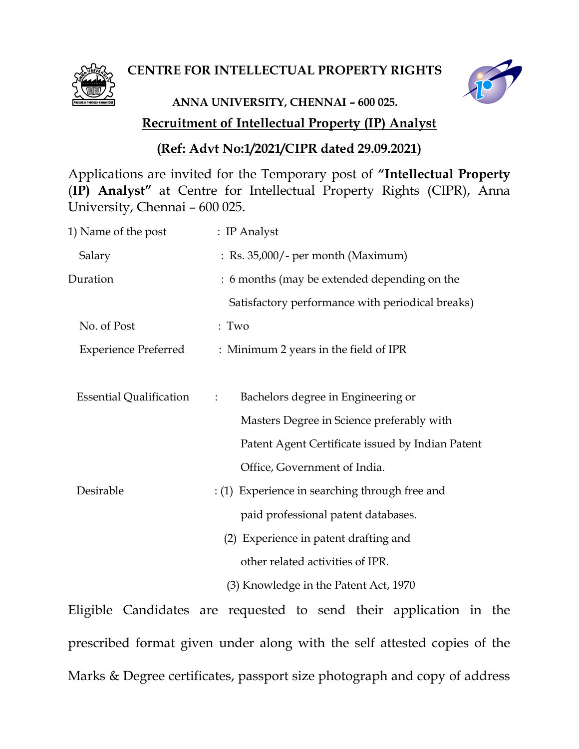

### CENTRE FOR INTELLECTUAL PROPERTY RIGHTS



# Recruitment of Intellectual Property (IP) Analyst ANNA UNIVERSITY, CHENNAI – 600 025.

### (Ref: Advt No:1/2021/CIPR dated 29.09.2021)

Applications are invited for the Temporary post of "Intellectual Property (IP) Analyst" at Centre for Intellectual Property Rights (CIPR), Anna University, Chennai – 600 025.

| 1) Name of the post            | : IP Analyst                                         |
|--------------------------------|------------------------------------------------------|
| Salary                         | : Rs. 35,000/ - per month (Maximum)                  |
| Duration                       | : 6 months (may be extended depending on the         |
|                                | Satisfactory performance with periodical breaks)     |
| No. of Post                    | : Two                                                |
| <b>Experience Preferred</b>    | : Minimum 2 years in the field of IPR                |
|                                |                                                      |
| <b>Essential Qualification</b> | Bachelors degree in Engineering or<br>$\ddot{\cdot}$ |
|                                | Masters Degree in Science preferably with            |
|                                | Patent Agent Certificate issued by Indian Patent     |
|                                | Office, Government of India.                         |
| Desirable                      | : (1) Experience in searching through free and       |
|                                | paid professional patent databases.                  |
|                                | (2) Experience in patent drafting and                |
|                                | other related activities of IPR.                     |
|                                | (3) Knowledge in the Patent Act, 1970                |

Eligible Candidates are requested to send their application in the prescribed format given under along with the self attested copies of the Marks & Degree certificates, passport size photograph and copy of address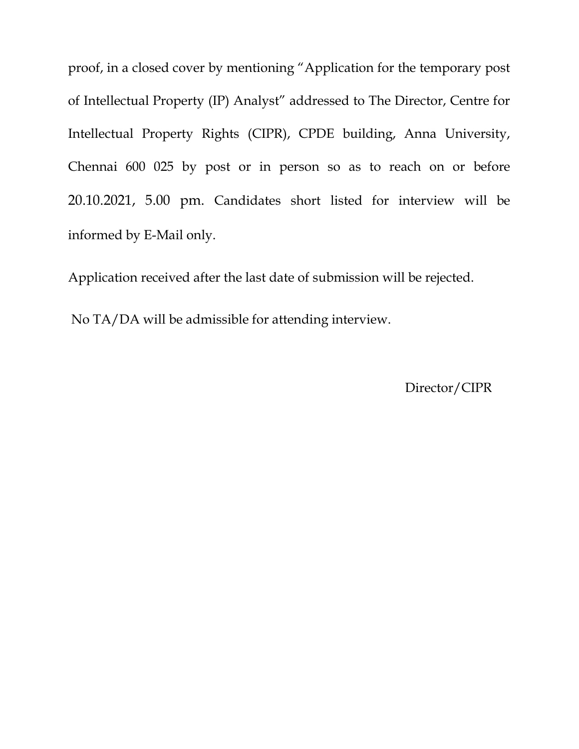proof, in a closed cover by mentioning "Application for the temporary post of Intellectual Property (IP) Analyst" addressed to The Director, Centre for Intellectual Property Rights (CIPR), CPDE building, Anna University, Chennai 600 025 by post or in person so as to reach on or before 20.10.2021, 5.00 pm. Candidates short listed for interview will be informed by E-Mail only.

Application received after the last date of submission will be rejected.

No TA/DA will be admissible for attending interview.

Director/CIPR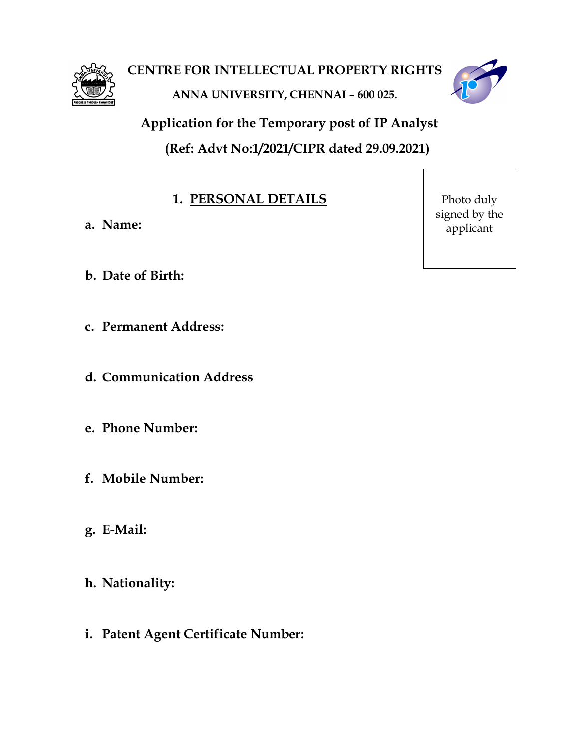



Application for the Temporary post of IP Analyst (Ref: Advt No:1/2021/CIPR dated 29.09.2021)

# 1. PERSONAL DETAILS

- a. Name:
- b. Date of Birth:
- c. Permanent Address:
- d. Communication Address
- e. Phone Number:
- f. Mobile Number:
- g. E-Mail:
- h. Nationality:
- i. Patent Agent Certificate Number:

Photo duly signed by the applicant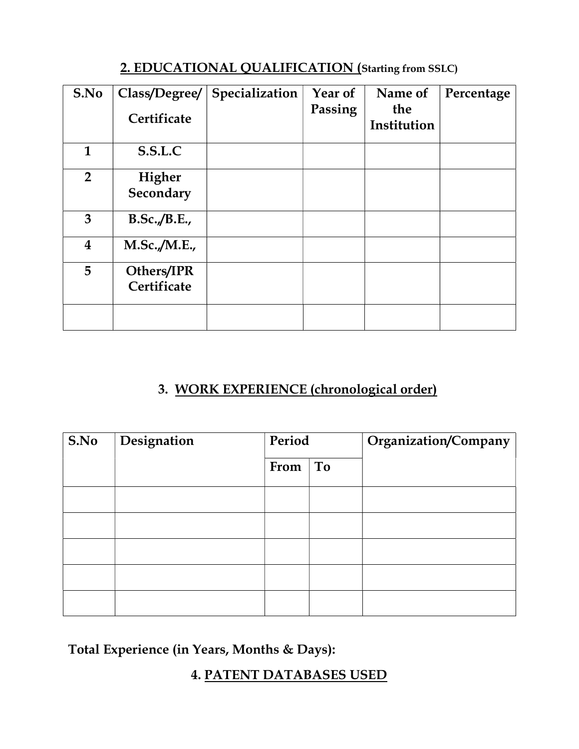# 2. EDUCATIONAL QUALIFICATION (Starting from SSLC)

| S.No                    | Class/Degree/<br>Certificate | Specialization | Year of<br>Passing | Name of<br>the<br>Institution | Percentage |
|-------------------------|------------------------------|----------------|--------------------|-------------------------------|------------|
| $\mathbf{1}$            | S.S.L.C                      |                |                    |                               |            |
| $\overline{2}$          | Higher<br>Secondary          |                |                    |                               |            |
| 3                       | B.Sc./B.E.,                  |                |                    |                               |            |
| $\overline{\mathbf{4}}$ | M.Sc./M.E.,                  |                |                    |                               |            |
| 5                       | Others/IPR<br>Certificate    |                |                    |                               |            |
|                         |                              |                |                    |                               |            |

# 3. WORK EXPERIENCE (chronological order)

| S.No | Designation | Period |    | Organization/Company |
|------|-------------|--------|----|----------------------|
|      |             | From   | To |                      |
|      |             |        |    |                      |
|      |             |        |    |                      |
|      |             |        |    |                      |
|      |             |        |    |                      |
|      |             |        |    |                      |

Total Experience (in Years, Months & Days):

### 4. PATENT DATABASES USED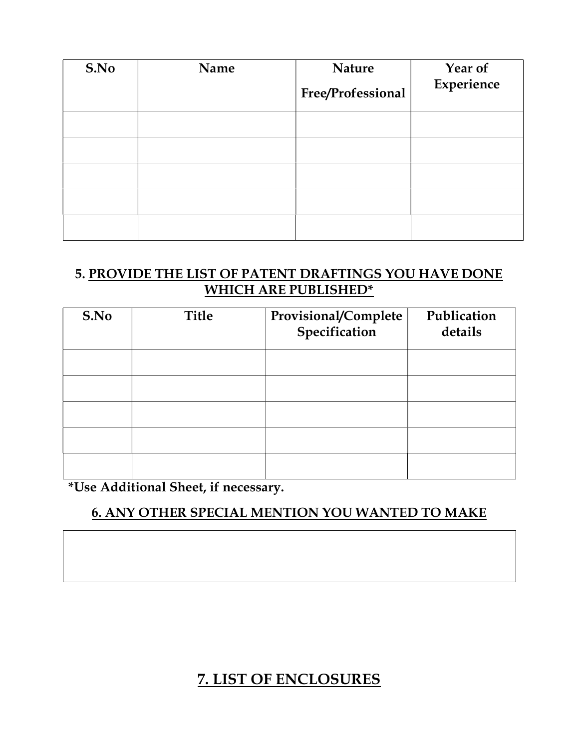| S.No | Name | <b>Nature</b><br>Free/Professional | Year of<br>Experience |
|------|------|------------------------------------|-----------------------|
|      |      |                                    |                       |
|      |      |                                    |                       |
|      |      |                                    |                       |
|      |      |                                    |                       |
|      |      |                                    |                       |

### 5. PROVIDE THE LIST OF PATENT DRAFTINGS YOU HAVE DONE WHICH ARE PUBLISHED\*

| S.No | <b>Title</b> | Provisional/Complete<br>Specification | Publication<br>details |
|------|--------------|---------------------------------------|------------------------|
|      |              |                                       |                        |
|      |              |                                       |                        |
|      |              |                                       |                        |
|      |              |                                       |                        |
|      |              |                                       |                        |

\*Use Additional Sheet, if necessary.

# 6. ANY OTHER SPECIAL MENTION YOU WANTED TO MAKE

# 7. LIST OF ENCLOSURES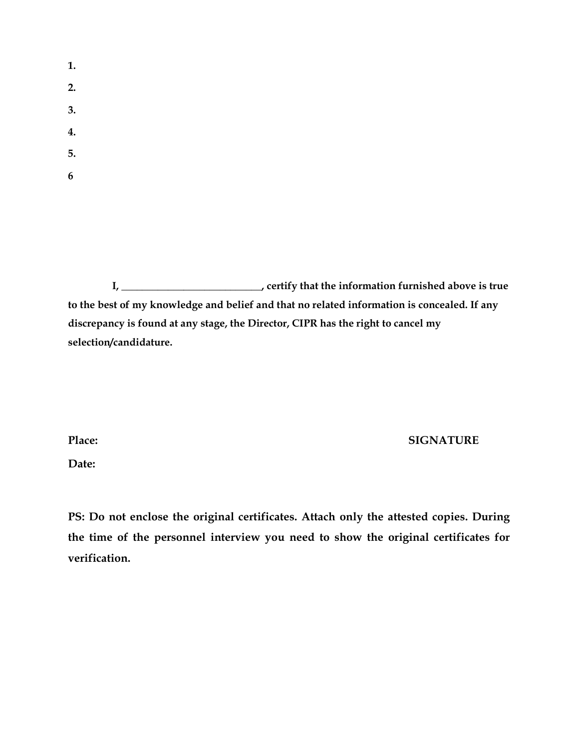- 1. 2. 3. 4. 5.
- 6

I, \_\_\_\_\_\_\_\_\_\_\_\_\_\_\_\_\_\_\_\_\_\_\_\_\_\_\_, certify that the information furnished above is true to the best of my knowledge and belief and that no related information is concealed. If any discrepancy is found at any stage, the Director, CIPR has the right to cancel my selection/candidature.

Place: SIGNATURE

Date:

PS: Do not enclose the original certificates. Attach only the attested copies. During the time of the personnel interview you need to show the original certificates for verification.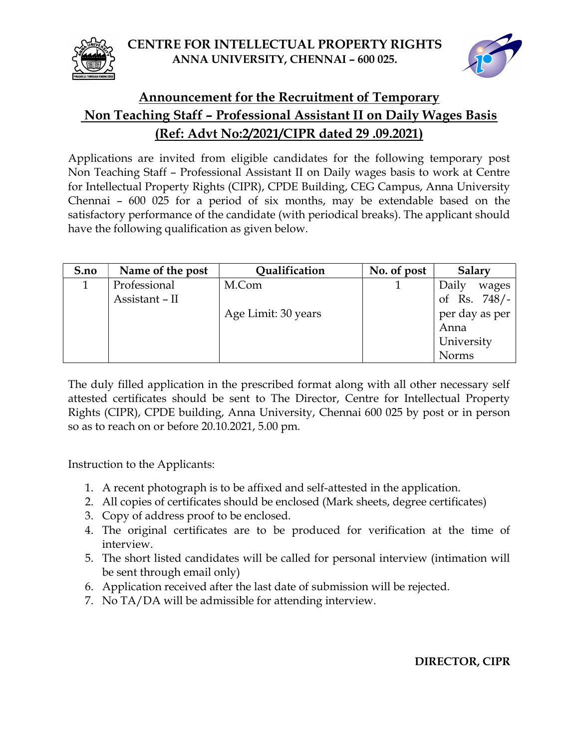CENTRE FOR INTELLECTUAL PROPERTY RIGHTS ANNA UNIVERSITY, CHENNAI – 600 025.





## Announcement for the Recruitment of Temporary Non Teaching Staff – Professional Assistant II on Daily Wages Basis (Ref: Advt No:2/2021/CIPR dated 29 .09.2021)

Applications are invited from eligible candidates for the following temporary post Non Teaching Staff – Professional Assistant II on Daily wages basis to work at Centre for Intellectual Property Rights (CIPR), CPDE Building, CEG Campus, Anna University Chennai – 600 025 for a period of six months, may be extendable based on the satisfactory performance of the candidate (with periodical breaks). The applicant should have the following qualification as given below.

| S.no | Name of the post | Qualification       | No. of post | Salary         |
|------|------------------|---------------------|-------------|----------------|
|      | Professional     | M.Com               |             | Daily<br>wages |
|      | Assistant - II   |                     |             | of Rs. $748/-$ |
|      |                  | Age Limit: 30 years |             | per day as per |
|      |                  |                     |             | Anna           |
|      |                  |                     |             | University     |
|      |                  |                     |             | <b>Norms</b>   |

The duly filled application in the prescribed format along with all other necessary self attested certificates should be sent to The Director, Centre for Intellectual Property Rights (CIPR), CPDE building, Anna University, Chennai 600 025 by post or in person so as to reach on or before 20.10.2021, 5.00 pm.

Instruction to the Applicants:

- 1. A recent photograph is to be affixed and self-attested in the application.
- 2. All copies of certificates should be enclosed (Mark sheets, degree certificates)
- 3. Copy of address proof to be enclosed.
- 4. The original certificates are to be produced for verification at the time of interview.
- 5. The short listed candidates will be called for personal interview (intimation will be sent through email only)
- 6. Application received after the last date of submission will be rejected.
- 7. No TA/DA will be admissible for attending interview.

#### DIRECTOR, CIPR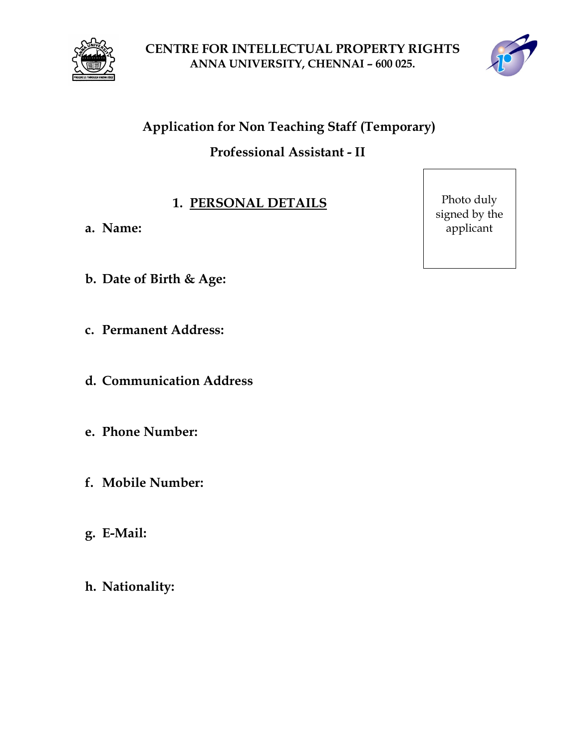

CENTRE FOR INTELLECTUAL PROPERTY RIGHTS ANNA UNIVERSITY, CHENNAI – 600 025.



# Application for Non Teaching Staff (Temporary) Professional Assistant - II

## 1. PERSONAL DETAILS

- a. Name:
- b. Date of Birth & Age:
- c. Permanent Address:
- d. Communication Address
- e. Phone Number:
- f. Mobile Number:
- g. E-Mail:
- h. Nationality:

Photo duly signed by the applicant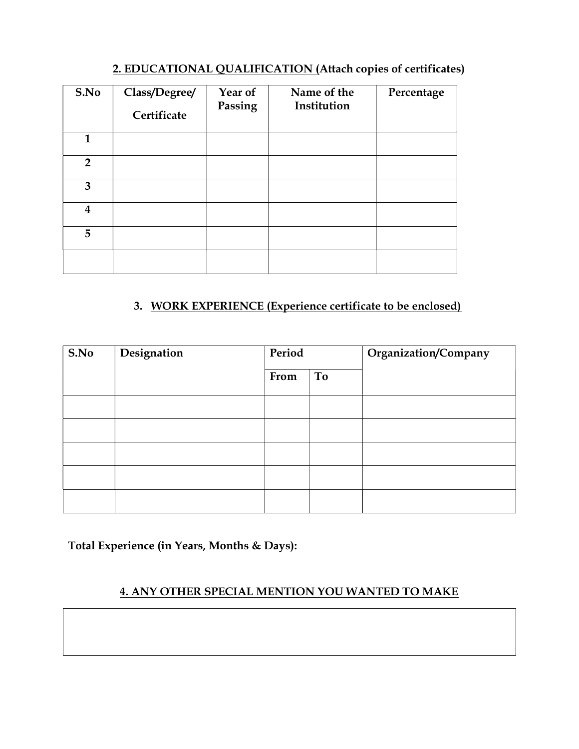#### 2. EDUCATIONAL QUALIFICATION (Attach copies of certificates)

| S.No                    | Class/Degree/<br>Certificate | Year of<br>Passing | Name of the<br>Institution | Percentage |
|-------------------------|------------------------------|--------------------|----------------------------|------------|
| $\mathbf{1}$            |                              |                    |                            |            |
| $\overline{2}$          |                              |                    |                            |            |
| 3                       |                              |                    |                            |            |
| $\overline{\mathbf{4}}$ |                              |                    |                            |            |
| 5                       |                              |                    |                            |            |
|                         |                              |                    |                            |            |

### 3. WORK EXPERIENCE (Experience certificate to be enclosed)

| S.No | Designation | Period |    | Organization/Company |  |
|------|-------------|--------|----|----------------------|--|
|      |             | From   | To |                      |  |
|      |             |        |    |                      |  |
|      |             |        |    |                      |  |
|      |             |        |    |                      |  |
|      |             |        |    |                      |  |
|      |             |        |    |                      |  |

Total Experience (in Years, Months & Days):

#### 4. ANY OTHER SPECIAL MENTION YOU WANTED TO MAKE